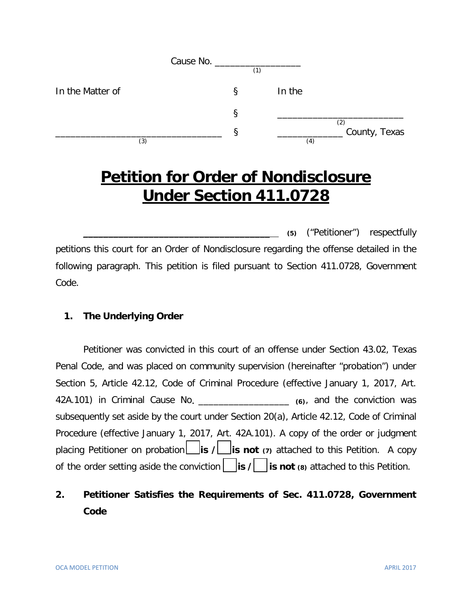| (1) |                             |
|-----|-----------------------------|
| ξ   | In the                      |
| ş   |                             |
|     | (2)<br>County, Texas<br>(4) |
|     | Cause No. ___________       |

# **Petition for Order of Nondisclosure Under Section 411.0728**

\_\_\_\_\_\_\_\_\_\_\_\_\_\_\_\_\_\_\_\_\_\_\_\_\_\_\_\_\_\_\_\_\_\_\_\_\_ **(5)** ("Petitioner") respectfully petitions this court for an Order of Nondisclosure regarding the offense detailed in the following paragraph. This petition is filed pursuant to Section 411.0728, Government Code.

#### **1. The Underlying Order**

Petitioner was convicted in this court of an offense under Section 43.02, Texas Penal Code, and was placed on community supervision (hereinafter "probation") under Section 5, Article 42.12, Code of Criminal Procedure (effective January 1, 2017, Art. 42A.101) in Criminal Cause No**.** \_\_\_\_\_\_\_\_\_\_\_\_\_\_\_\_\_\_ **(6)**, and the conviction was subsequently set aside by the court under Section 20(a), Article 42.12, Code of Criminal Procedure (effective January 1, 2017, Art. 42A.101). A copy of the order or judgment placing Petitioner on probation **is / is not** (7) attached to this Petition. A copy of the order setting aside the conviction **is / is not (8)** attached to this Petition.

# **2. Petitioner Satisfies the Requirements of Sec. 411.0728, Government Code**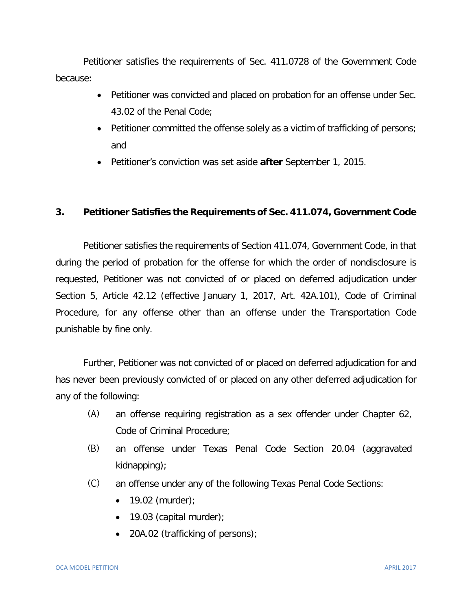Petitioner satisfies the requirements of Sec. 411.0728 of the Government Code because:

- Petitioner was convicted and placed on probation for an offense under Sec. 43.02 of the Penal Code;
- Petitioner committed the offense solely as a victim of trafficking of persons; and
- Petitioner's conviction was set aside **after** September 1, 2015.

## **3. Petitioner Satisfies the Requirements of Sec. 411.074, Government Code**

Petitioner satisfies the requirements of Section 411.074, Government Code, in that during the period of probation for the offense for which the order of nondisclosure is requested, Petitioner was not convicted of or placed on deferred adjudication under Section 5, Article 42.12 (effective January 1, 2017, Art. 42A.101), Code of Criminal Procedure, for any offense other than an offense under the Transportation Code punishable by fine only.

Further, Petitioner was not convicted of or placed on deferred adjudication for and has never been previously convicted of or placed on any other deferred adjudication for any of the following:

- (A) an offense requiring registration as a sex offender under Chapter 62, Code of Criminal Procedure;
- (B) an offense under Texas Penal Code Section 20.04 (aggravated kidnapping);
- (C) an offense under any of the following Texas Penal Code Sections:
	- 19.02 (murder);
	- 19.03 (capital murder);
	- 20A.02 (trafficking of persons);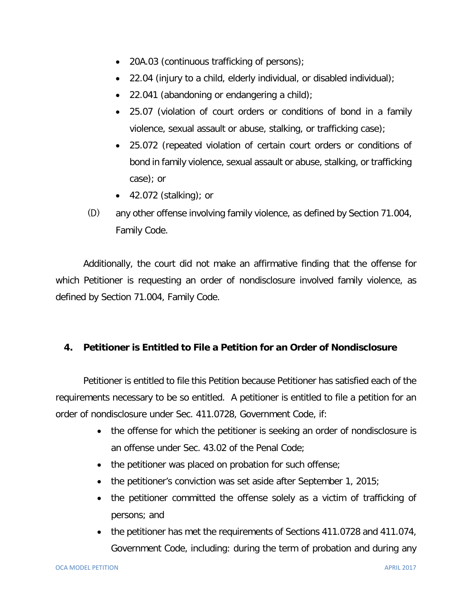- 20A.03 (continuous trafficking of persons);
- 22.04 (injury to a child, elderly individual, or disabled individual);
- 22.041 (abandoning or endangering a child);
- 25.07 (violation of court orders or conditions of bond in a family violence, sexual assault or abuse, stalking, or trafficking case);
- 25.072 (repeated violation of certain court orders or conditions of bond in family violence, sexual assault or abuse, stalking, or trafficking case); or
- 42.072 (stalking); or
- (D) any other offense involving family violence, as defined by Section 71.004, Family Code.

Additionally, the court did not make an affirmative finding that the offense for which Petitioner is requesting an order of nondisclosure involved family violence, as defined by Section 71.004, Family Code.

#### **4. Petitioner is Entitled to File a Petition for an Order of Nondisclosure**

Petitioner is entitled to file this Petition because Petitioner has satisfied each of the requirements necessary to be so entitled. A petitioner is entitled to file a petition for an order of nondisclosure under Sec. 411.0728, Government Code, if:

- the offense for which the petitioner is seeking an order of nondisclosure is an offense under Sec. 43.02 of the Penal Code;
- the petitioner was placed on probation for such offense;
- the petitioner's conviction was set aside after September 1, 2015;
- the petitioner committed the offense solely as a victim of trafficking of persons; and
- the petitioner has met the requirements of Sections 411.0728 and 411.074, Government Code, including: during the term of probation and during any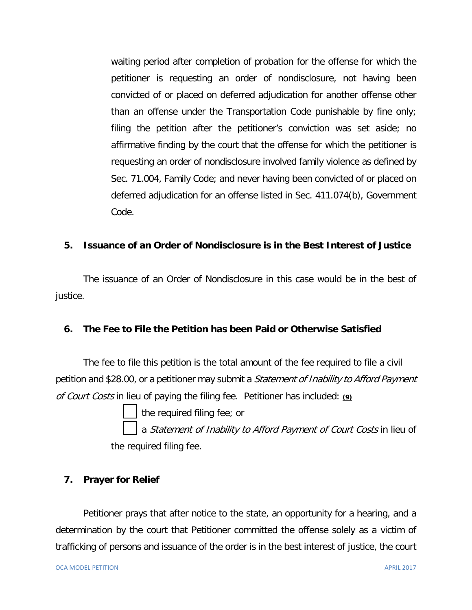waiting period after completion of probation for the offense for which the petitioner is requesting an order of nondisclosure, not having been convicted of or placed on deferred adjudication for another offense other than an offense under the Transportation Code punishable by fine only; filing the petition after the petitioner's conviction was set aside; no affirmative finding by the court that the offense for which the petitioner is requesting an order of nondisclosure involved family violence as defined by Sec. 71.004, Family Code; and never having been convicted of or placed on deferred adjudication for an offense listed in Sec. 411.074(b), Government Code.

## **5. Issuance of an Order of Nondisclosure is in the Best Interest of Justice**

 The issuance of an Order of Nondisclosure in this case would be in the best of justice.

#### **6. The Fee to File the Petition has been Paid or Otherwise Satisfied**

The fee to file this petition is the total amount of the fee required to file a civil petition and \$28.00, or a petitioner may submit a *Statement of Inability to Afford Payment* of Court Costs in lieu of paying the filing fee. Petitioner has included: **(9)**

the required filing fee; or

a Statement of Inability to Afford Payment of Court Costs in lieu of the required filing fee.

#### **7. Prayer for Relief**

Petitioner prays that after notice to the state, an opportunity for a hearing, and a determination by the court that Petitioner committed the offense solely as a victim of trafficking of persons and issuance of the order is in the best interest of justice, the court